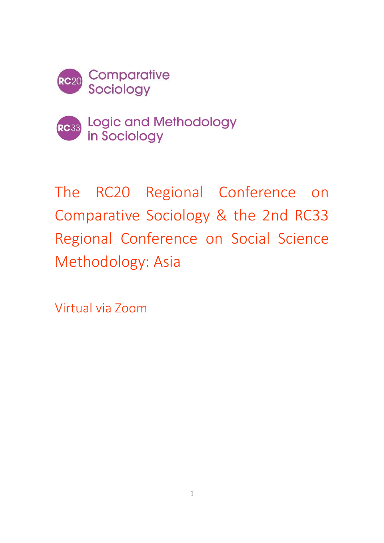



Logic and Methodology in Sociology

The RC20 Regional Conference on Comparative Sociology & the 2nd RC33 Regional Conference on Social Science Methodology: Asia

Virtual via Zoom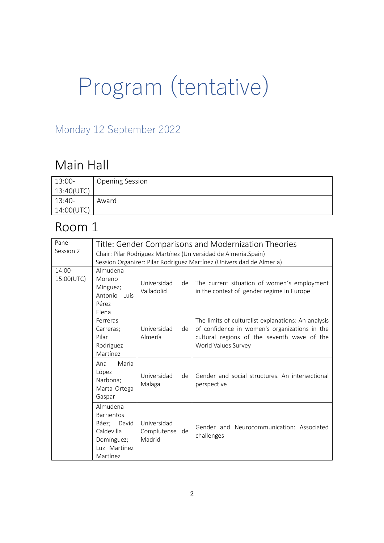# Program (tentative)

#### Monday 12 September 2022

### Main Hall

| 13:00-     | <b>Opening Session</b> |
|------------|------------------------|
| 13:40(UTC) |                        |
| 13:40-     | Award                  |
| 14:00(UTC) |                        |

| Panel<br>Session 2   |                                                                                                      |                                         |    | Title: Gender Comparisons and Modernization Theories<br>Chair: Pilar Rodriguez Martínez (Universidad de Almeria.Spain)<br>Session Organizer: Pilar Rodriguez Martínez (Universidad de Almeria) |
|----------------------|------------------------------------------------------------------------------------------------------|-----------------------------------------|----|------------------------------------------------------------------------------------------------------------------------------------------------------------------------------------------------|
| 14:00-<br>15:00(UTC) | Almudena<br>Moreno<br>Mínguez;<br>Antonio Luís<br>Pérez                                              | Universidad<br>Valladolid               | de | The current situation of women's employment<br>in the context of gender regime in Europe                                                                                                       |
|                      | Flena<br>Ferreras<br>Carreras;<br>Pilar<br>Rodríguez<br>Martínez                                     | Universidad<br>Almería                  | de | The limits of culturalist explanations: An analysis<br>of confidence in women's organizations in the<br>cultural regions of the seventh wave of the<br>World Values Survey                     |
|                      | María<br>Ana<br>López<br>Narbona;<br>Marta Ortega<br>Gaspar                                          | Universidad<br>Malaga                   | de | Gender and social structures. An intersectional<br>perspective                                                                                                                                 |
|                      | Almudena<br><b>Barrientos</b><br>Báez; David<br>Caldevilla<br>Domínguez;<br>Luz Martínez<br>Martínez | Universidad<br>Complutense de<br>Madrid |    | Gender and Neurocommunication: Associated<br>challenges                                                                                                                                        |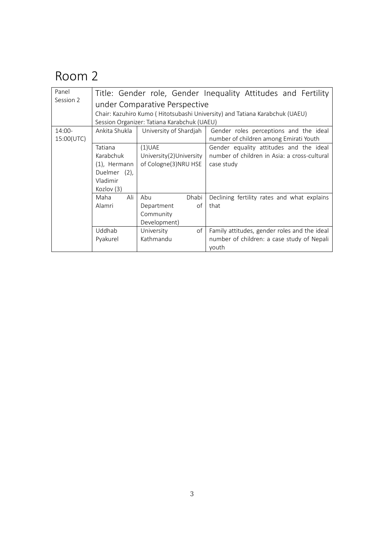| Panel<br>Session 2 | Title: Gender role, Gender Inequality Attitudes and Fertility               |                          |                                              |  |  |
|--------------------|-----------------------------------------------------------------------------|--------------------------|----------------------------------------------|--|--|
|                    | under Comparative Perspective                                               |                          |                                              |  |  |
|                    | Chair: Kazuhiro Kumo (Hitotsubashi University) and Tatiana Karabchuk (UAEU) |                          |                                              |  |  |
|                    | Session Organizer: Tatiana Karabchuk (UAEU)                                 |                          |                                              |  |  |
| 14:00-             | Ankita Shukla                                                               | University of Shardjah   | Gender roles perceptions and the ideal       |  |  |
| 15:00(UTC)         |                                                                             |                          | number of children among Emirati Youth       |  |  |
|                    | Tatiana                                                                     | $(1)$ UAE                | Gender equality attitudes and the ideal      |  |  |
|                    | Karabchuk                                                                   | University(2) University | number of children in Asia: a cross-cultural |  |  |
|                    | $(1)$ , Hermann                                                             | of Cologne(3)NRU HSE     | case study                                   |  |  |
|                    | Duelmer (2),                                                                |                          |                                              |  |  |
|                    | Vladimir                                                                    |                          |                                              |  |  |
|                    | Kozlov (3)                                                                  |                          |                                              |  |  |
|                    | Ali<br>Maha                                                                 | Abu<br>Dhabi             | Declining fertility rates and what explains  |  |  |
|                    | Alamri                                                                      | of<br>Department         | that                                         |  |  |
|                    |                                                                             | Community                |                                              |  |  |
|                    |                                                                             | Development)             |                                              |  |  |
|                    | Uddhab                                                                      | University<br>of         | Family attitudes, gender roles and the ideal |  |  |
|                    | Pyakurel                                                                    | Kathmandu                | number of children: a case study of Nepali   |  |  |
|                    |                                                                             |                          | youth                                        |  |  |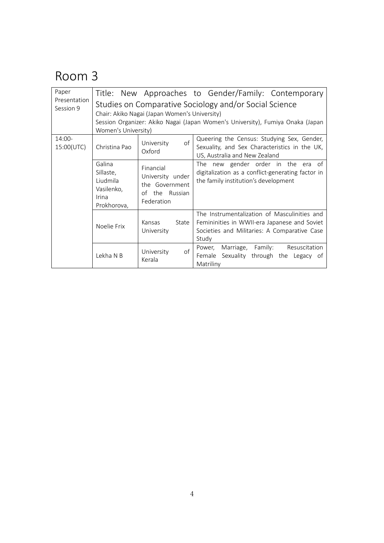| Paper                     |                                                                              |                                                                                    | Title: New Approaches to Gender/Family: Contemporary                                                                                                  |
|---------------------------|------------------------------------------------------------------------------|------------------------------------------------------------------------------------|-------------------------------------------------------------------------------------------------------------------------------------------------------|
| Presentation<br>Session 9 |                                                                              |                                                                                    | Studies on Comparative Sociology and/or Social Science                                                                                                |
|                           |                                                                              | Chair: Akiko Nagai (Japan Women's University)                                      |                                                                                                                                                       |
|                           |                                                                              |                                                                                    | Session Organizer: Akiko Nagai (Japan Women's University), Fumiya Onaka (Japan                                                                        |
|                           | Women's University)                                                          |                                                                                    |                                                                                                                                                       |
| 14:00-<br>15:00(UTC)      | Christina Pao                                                                | $\mathsf{of}$<br>University<br>Oxford                                              | Queering the Census: Studying Sex, Gender,<br>Sexuality, and Sex Characteristics in the UK,<br>US, Australia and New Zealand                          |
|                           | Galina<br>Sillaste,<br>Liudmila<br>Vasilenko,<br><b>Irina</b><br>Prokhorova, | Financial<br>University under<br>the Government<br>of<br>the Russian<br>Federation | The new gender order in the<br>era<br>of<br>digitalization as a conflict-generating factor in<br>the family institution's development                 |
|                           | Noelie Frix                                                                  | Kansas<br>State<br>University                                                      | The Instrumentalization of Masculinities and<br>Femininities in WWII-era Japanese and Soviet<br>Societies and Militaries: A Comparative Case<br>Study |
|                           | Lekha N B                                                                    | of<br>University<br>Kerala                                                         | Marriage, Family:<br>Resuscitation<br>Power,<br>Sexuality through the Legacy of<br>Female<br>Matriliny                                                |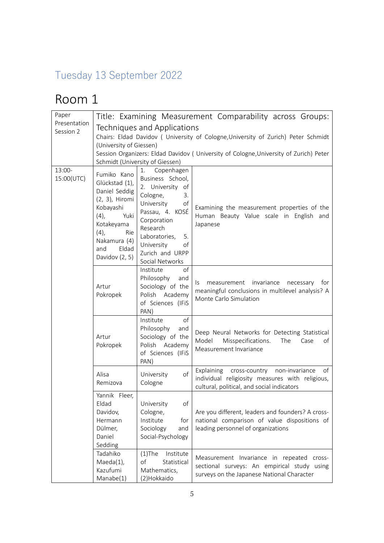#### Tuesday 13 September 2022

| Paper<br>Presentation |                                                                                                                                                                              |                                                                                                                                                                                                                               | Title: Examining Measurement Comparability across Groups:                                                                                                                    |
|-----------------------|------------------------------------------------------------------------------------------------------------------------------------------------------------------------------|-------------------------------------------------------------------------------------------------------------------------------------------------------------------------------------------------------------------------------|------------------------------------------------------------------------------------------------------------------------------------------------------------------------------|
| Session 2             | (University of Giessen)                                                                                                                                                      | Techniques and Applications<br>Schmidt (University of Giessen)                                                                                                                                                                | Chairs: Eldad Davidov ( University of Cologne, University of Zurich) Peter Schmidt<br>Session Organizers: Eldad Davidov ( University of Cologne, University of Zurich) Peter |
| 13:00-<br>15:00(UTC)  | Fumiko Kano<br>Glückstad (1),<br>Daniel Seddig<br>(2, 3), Hiromi<br>Kobayashi<br>(4),<br>Yuki<br>Kotakeyama<br>(4),<br>Rie<br>Nakamura (4)<br>Eldad<br>and<br>Davidov (2, 5) | Copenhagen<br>1.<br>Business School,<br>2. University of<br>Cologne,<br>3.<br>University<br>of<br>Passau, 4. KOSÉ<br>Corporation<br>Research<br>Laboratories,<br>5.<br>University<br>of<br>Zurich and URPP<br>Social Networks | Examining the measurement properties of the<br>Human Beauty Value scale in English and<br>Japanese                                                                           |
|                       | Artur<br>Pokropek                                                                                                                                                            | of<br>Institute<br>Philosophy<br>and<br>Sociology of the<br>Polish Academy<br>of Sciences (IFiS<br>PAN)                                                                                                                       | Is measurement invariance<br>necessary<br>for<br>meaningful conclusions in multilevel analysis? A<br>Monte Carlo Simulation                                                  |
|                       | Artur<br>Pokropek                                                                                                                                                            | Institute<br>of<br>Philosophy<br>and<br>Sociology of the<br>Polish Academy<br>of Sciences (IFiS<br>PAN)                                                                                                                       | Deep Neural Networks for Detecting Statistical<br>Misspecifications.<br>Model<br>The<br>of<br>Case<br>Measurement Invariance                                                 |
|                       | Alisa<br>Remizova                                                                                                                                                            | of<br>University<br>Cologne                                                                                                                                                                                                   | Explaining cross-country non-invariance<br>of<br>individual religiosity measures with religious,<br>cultural, political, and social indicators                               |
|                       | Yannik Fleer,<br>Eldad<br>Davidov,<br>Hermann<br>Dülmer,<br>Daniel<br>Sedding                                                                                                | of<br>University<br>Cologne,<br>Institute<br>for<br>Sociology<br>and<br>Social-Psychology                                                                                                                                     | Are you different, leaders and founders? A cross-<br>national comparison of value dispositions of<br>leading personnel of organizations                                      |
|                       | Tadahiko<br>$Maeda(1)$ ,<br>Kazufumi<br>Manabe(1)                                                                                                                            | $(1)$ The<br>Institute<br>of<br>Statistical<br>Mathematics,<br>(2)Hokkaido                                                                                                                                                    | Measurement Invariance in repeated cross-<br>sectional surveys: An empirical study using<br>surveys on the Japanese National Character                                       |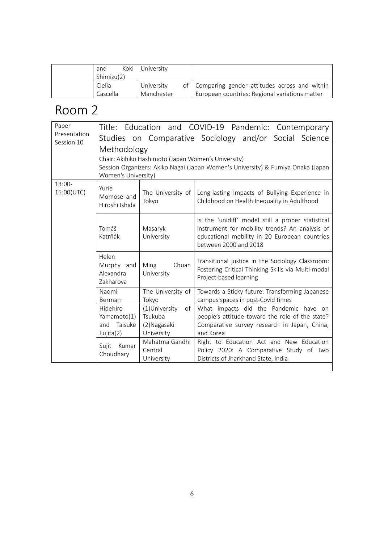| and        | Koki University |                                                   |
|------------|-----------------|---------------------------------------------------|
| Shimizu(2) |                 |                                                   |
| Clelia     | University      | of   Comparing gender attitudes across and within |
| Cascella   | Manchester      | European countries: Regional variations matter    |

|                            |                                                                                                                                                                |                                                              | Title: Education and COVID-19 Pandemic: Contemporary                                                                                                                          |  |
|----------------------------|----------------------------------------------------------------------------------------------------------------------------------------------------------------|--------------------------------------------------------------|-------------------------------------------------------------------------------------------------------------------------------------------------------------------------------|--|
| Presentation<br>Session 10 |                                                                                                                                                                |                                                              | Studies on Comparative Sociology and/or Social Science                                                                                                                        |  |
|                            | Methodology                                                                                                                                                    |                                                              |                                                                                                                                                                               |  |
|                            | Chair: Akihiko Hashimoto (Japan Women's University)<br>Session Organizers: Akiko Nagai (Japan Women's University) & Fumiya Onaka (Japan<br>Women's University) |                                                              |                                                                                                                                                                               |  |
| $13:00-$<br>15:00(UTC)     | Yurie<br>Momose and<br>Hiroshi Ishida                                                                                                                          | The University of<br>Tokyo                                   | Long-lasting Impacts of Bullying Experience in<br>Childhood on Health Inequality in Adulthood                                                                                 |  |
|                            | Tomáš<br>Katrňák                                                                                                                                               | Masaryk<br>University                                        | Is the 'unidiff' model still a proper statistical<br>instrument for mobility trends? An analysis of<br>educational mobility in 20 European countries<br>between 2000 and 2018 |  |
|                            | Helen<br>Murphy and<br>Alexandra<br>Zakharova                                                                                                                  | Chuan<br>Ming<br>University                                  | Transitional justice in the Sociology Classroom:<br>Fostering Critical Thinking Skills via Multi-modal<br>Project-based learning                                              |  |
|                            | Naomi<br>Berman                                                                                                                                                | The University of<br>Tokyo                                   | Towards a Sticky future: Transforming Japanese<br>campus spaces in post-Covid times                                                                                           |  |
|                            | Hidehiro<br>Yamamoto(1)<br>Taisuke<br>and<br>Fujita(2)                                                                                                         | (1)University<br>of<br>Tsukuba<br>(2) Nagasaki<br>University | What impacts did the Pandemic have on<br>people's attitude toward the role of the state?<br>Comparative survey research in Japan, China,<br>and Korea                         |  |
|                            | Sujit Kumar<br>Choudhary                                                                                                                                       | Mahatma Gandhi<br>Central<br>University                      | Right to Education Act and New Education<br>Policy 2020: A Comparative Study of Two<br>Districts of Jharkhand State, India                                                    |  |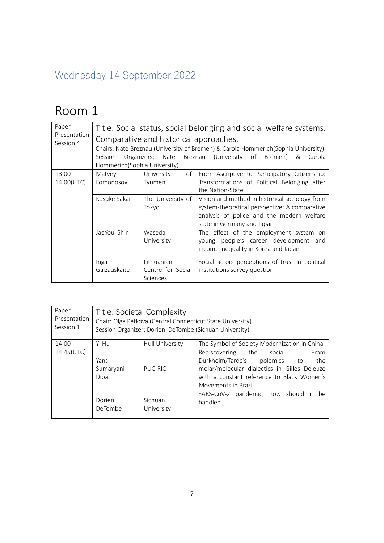#### Wednesday 14 September 2022

| Paper<br>Presentation<br>Session 4 | Session<br>Hommerich (Sophia University) | Comparative and historical approaches.<br>Organizers: Nate | Title: Social status, social belonging and social welfare systems.<br>Chairs: Nate Breznau (University of Bremen) & Carola Hommerich (Sophia University)<br>(University of Bremen)<br>Breznau<br>&<br>Carola |
|------------------------------------|------------------------------------------|------------------------------------------------------------|--------------------------------------------------------------------------------------------------------------------------------------------------------------------------------------------------------------|
| $13:00-$<br>14:00(UTC)             | Matvey<br>Lomonosov                      | of<br>University<br>Tyumen                                 | From Ascriptive to Participatory Citizenship:<br>Transformations of Political Belonging after<br>the Nation-State                                                                                            |
|                                    | Kosuke Sakai                             | The University of<br>Tokyo                                 | Vision and method in historical sociology from<br>system-theoretical perspective: A comparative<br>analysis of police and the modern welfare<br>state in Germany and Japan                                   |
|                                    | JaeYoul Shin                             | Waseda<br>University                                       | The effect of the employment system on<br>young people's career development and<br>income inequality in Korea and Japan                                                                                      |
|                                    | Inga<br>Gaizauskaite                     | Lithuanian<br>Centre for Social<br>Sciences                | Social actors perceptions of trust in political<br>institutions survey question                                                                                                                              |

| Paper        | Title: Societal Complexity                                 |                 |                                                                                                                                                                                               |
|--------------|------------------------------------------------------------|-----------------|-----------------------------------------------------------------------------------------------------------------------------------------------------------------------------------------------|
| Presentation | Chair: Olga Petkova (Central Connecticut State University) |                 |                                                                                                                                                                                               |
| Session 1    | Session Organizer: Dorien DeTombe (Sichuan University)     |                 |                                                                                                                                                                                               |
| $14:00-$     | Yi Hu                                                      | Hull University | The Symbol of Society Modernization in China                                                                                                                                                  |
| 14:45(UTC)   | Yans<br>Sumaryani<br>Dipati                                | PUC-RIO         | Rediscovering the social:<br>From<br>Durkheim/Tarde's polemics to<br>the<br>molar/molecular dialectics in Gilles Deleuze<br>with a constant reference to Black Women's<br>Movements in Brazil |
|              | Dorien                                                     | Sichuan         | SARS-CoV-2 pandemic, how should it be                                                                                                                                                         |
|              | DeTombe                                                    | University      | handled                                                                                                                                                                                       |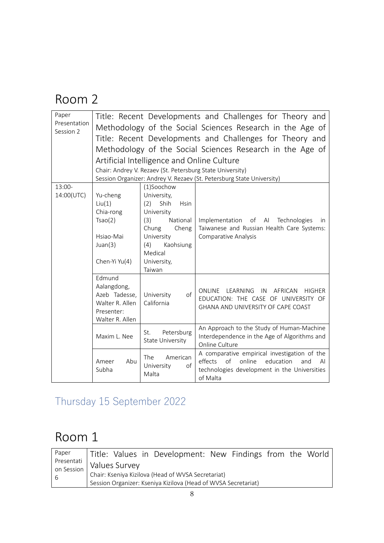| Paper<br>Presentation<br>Session 2 |                                                                                            | Artificial Intelligence and Online Culture<br>Chair: Andrey V. Rezaev (St. Petersburg State University)                                                                          | Title: Recent Developments and Challenges for Theory and<br>Methodology of the Social Sciences Research in the Age of<br>Title: Recent Developments and Challenges for Theory and<br>Methodology of the Social Sciences Research in the Age of<br>Session Organizer: Andrey V. Rezaev (St. Petersburg State University) |
|------------------------------------|--------------------------------------------------------------------------------------------|----------------------------------------------------------------------------------------------------------------------------------------------------------------------------------|-------------------------------------------------------------------------------------------------------------------------------------------------------------------------------------------------------------------------------------------------------------------------------------------------------------------------|
| $13:00-$<br>14:00(UTC)             | Yu-cheng<br>Liu(1)<br>Chia-rong<br>Tsao(2)<br>Hsiao-Mai<br>Juan(3)<br>Chen-Yi Yu(4)        | (1)Soochow<br>University,<br>Shih<br>(2)<br><b>Hsin</b><br>University<br>National<br>(3)<br>Chung<br>Cheng<br>University<br>Kaohsiung<br>(4)<br>Medical<br>University,<br>Taiwan | Implementation of AI Technologies<br>in.<br>Taiwanese and Russian Health Care Systems:<br>Comparative Analysis                                                                                                                                                                                                          |
|                                    | Edmund<br>Aalangdong,<br>Azeb Tadesse,<br>Walter R. Allen<br>Presenter:<br>Walter R. Allen | of<br>University<br>California                                                                                                                                                   | ONLINE<br>LEARNING<br>AFRICAN<br>IN<br><b>HIGHER</b><br>EDUCATION: THE CASE OF UNIVERSITY OF<br>GHANA AND UNIVERSITY OF CAPE COAST                                                                                                                                                                                      |
|                                    | Maxim L. Nee                                                                               | Petersburg<br>St.<br><b>State University</b>                                                                                                                                     | An Approach to the Study of Human-Machine<br>Interdependence in the Age of Algorithms and<br>Online Culture                                                                                                                                                                                                             |
|                                    | Abu<br>Ameer<br>Subha                                                                      | The<br>American<br>University<br>of<br>Malta                                                                                                                                     | A comparative empirical investigation of the<br>effects<br>of<br>online<br>education<br>and<br>ΑI<br>technologies development in the Universities<br>of Malta                                                                                                                                                           |

## Thursday 15 September 2022

| Paper | Title: Values in Development: New Findings from the World      |
|-------|----------------------------------------------------------------|
|       | Presentati Values Survey                                       |
| l 6   | Chair: Kseniya Kizilova (Head of WVSA Secretariat)             |
|       | Session Organizer: Kseniya Kizilova (Head of WVSA Secretariat) |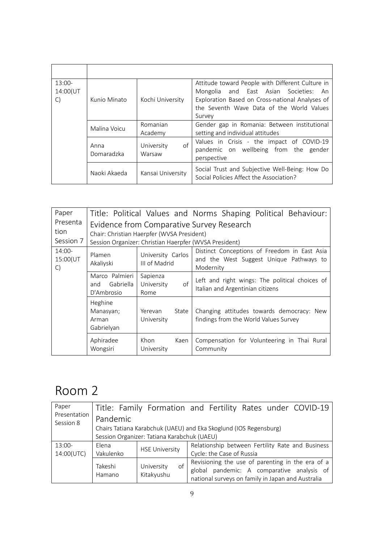| $13:00-$<br>14:00(UT<br>$\mathsf{C}$ | Kunio Minato       | Kochi University           | Attitude toward People with Different Culture in<br>Mongolia and East Asian Societies: An<br>Exploration Based on Cross-national Analyses of<br>the Seventh Wave Data of the World Values<br>Survey |
|--------------------------------------|--------------------|----------------------------|-----------------------------------------------------------------------------------------------------------------------------------------------------------------------------------------------------|
|                                      | Malina Voicu       | Romanian<br>Academy        | Gender gap in Romania: Between institutional<br>setting and individual attitudes                                                                                                                    |
|                                      | Anna<br>Domaradzka | of<br>University<br>Warsaw | Values in Crisis - the impact of COVID-19<br>pandemic on wellbeing from the gender<br>perspective                                                                                                   |
|                                      | Naoki Akaeda       | Kansai University          | Social Trust and Subjective Well-Being: How Do<br>Social Policies Affect the Association?                                                                                                           |

| Paper<br>Presenta<br>tion<br>Session 7 | Title: Political Values and Norms Shaping Political Behaviour:<br>Evidence from Comparative Survey Research<br>Chair: Christian Haerpfer (WVSA President)<br>Session Organizer: Christian Haerpfer (WVSA President) |                                      |                                                                                                      |  |
|----------------------------------------|---------------------------------------------------------------------------------------------------------------------------------------------------------------------------------------------------------------------|--------------------------------------|------------------------------------------------------------------------------------------------------|--|
| $14:00-$<br>15:00(UT<br>C)             | Plamen<br>Akaliyski                                                                                                                                                                                                 | University Carlos<br>III of Madrid   | Distinct Conceptions of Freedom in East Asia<br>and the West Suggest Unique Pathways to<br>Modernity |  |
|                                        | Marco Palmieri<br>Gabriella<br>and<br>D'Ambrosio                                                                                                                                                                    | Sapienza<br>of<br>University<br>Rome | Left and right wings: The political choices of<br>Italian and Argentinian citizens                   |  |
|                                        | Heghine<br>Manasyan;<br>Arman<br>Gabrielyan                                                                                                                                                                         | Yerevan<br>State<br>University       | Changing attitudes towards democracy: New<br>findings from the World Values Survey                   |  |
|                                        | Aphiradee<br>Wongsiri                                                                                                                                                                                               | Khon<br>Kaen<br>University           | Compensation for Volunteering in Thai Rural<br>Community                                             |  |

| Paper                     |                                                                   |                                             | Title: Family Formation and Fertility Rates under COVID-19                                                                                          |  |  |  |
|---------------------------|-------------------------------------------------------------------|---------------------------------------------|-----------------------------------------------------------------------------------------------------------------------------------------------------|--|--|--|
| Presentation<br>Session 8 | Pandemic                                                          |                                             |                                                                                                                                                     |  |  |  |
|                           | Chairs Tatiana Karabchuk (UAEU) and Eka Skoglund (IOS Regensburg) |                                             |                                                                                                                                                     |  |  |  |
|                           |                                                                   | Session Organizer: Tatiana Karabchuk (UAEU) |                                                                                                                                                     |  |  |  |
| $13:00-$                  | Elena                                                             | <b>HSE University</b>                       | Relationship between Fertility Rate and Business                                                                                                    |  |  |  |
| 14:00(UTC)                | Vakulenko                                                         |                                             | Cycle: the Case of Russia                                                                                                                           |  |  |  |
|                           | Takeshi<br>Hamano                                                 | of<br>University<br>Kitakyushu              | Revisioning the use of parenting in the era of a<br>global pandemic: A comparative analysis of<br>national surveys on family in Japan and Australia |  |  |  |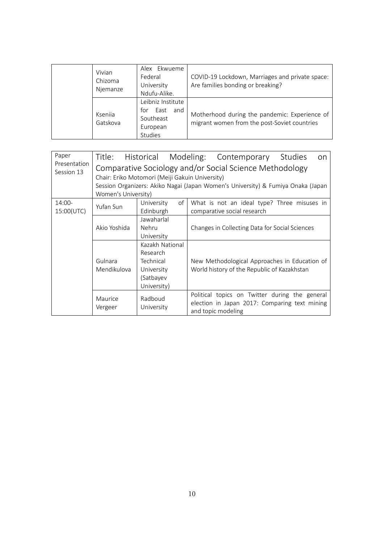| Vivian<br>Chizoma<br>Njemanze | Alex Ekwueme<br>Federal<br>University<br>Ndufu-Alike.                       | COVID-19 Lockdown, Marriages and private space:<br>Are families bonding or breaking?          |
|-------------------------------|-----------------------------------------------------------------------------|-----------------------------------------------------------------------------------------------|
| Ksenija<br>Gatskova           | Leibniz Institute<br>East<br>for<br>and<br>Southeast<br>European<br>Studies | Motherhood during the pandemic: Experience of<br>migrant women from the post-Soviet countries |

| Paper                      |                                                                                                                                                                                                                       |                                                                                    |  | Title: Historical Modeling: Contemporary Studies                                                                      | on |
|----------------------------|-----------------------------------------------------------------------------------------------------------------------------------------------------------------------------------------------------------------------|------------------------------------------------------------------------------------|--|-----------------------------------------------------------------------------------------------------------------------|----|
| Presentation<br>Session 13 | Comparative Sociology and/or Social Science Methodology<br>Chair: Eriko Motomori (Meiji Gakuin University)<br>Session Organizers: Akiko Nagai (Japan Women's University) & Fumiya Onaka (Japan<br>Women's University) |                                                                                    |  |                                                                                                                       |    |
| 14:00-<br>15:00(UTC)       | Yufan Sun                                                                                                                                                                                                             | University<br>of<br>Edinburgh                                                      |  | What is not an ideal type? Three misuses in<br>comparative social research                                            |    |
|                            | Akio Yoshida                                                                                                                                                                                                          | Jawaharlal<br>Nehru<br>University                                                  |  | Changes in Collecting Data for Social Sciences                                                                        |    |
|                            | Gulnara<br>Mendikulova                                                                                                                                                                                                | Kazakh National<br>Research<br>Technical<br>University<br>(Satbayev<br>University) |  | New Methodological Approaches in Education of<br>World history of the Republic of Kazakhstan                          |    |
|                            | Maurice<br>Vergeer                                                                                                                                                                                                    | Radboud<br>University                                                              |  | Political topics on Twitter during the general<br>election in Japan 2017: Comparing text mining<br>and topic modeling |    |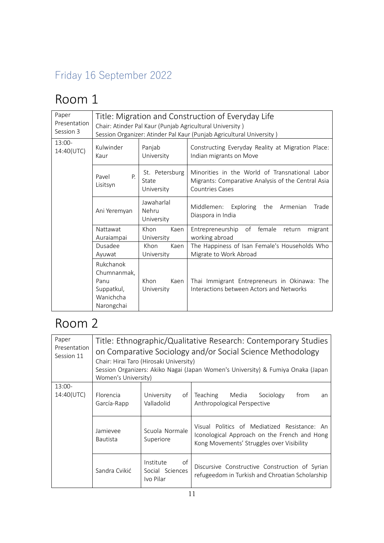## Friday 16 September 2022

## Room 1

| Paper<br>Presentation<br>Session 3 | Title: Migration and Construction of Everyday Life<br>Chair: Atinder Pal Kaur (Punjab Agricultural University)<br>Session Organizer: Atinder Pal Kaur (Punjab Agricultural University) |                                       |                                                                                                                                |
|------------------------------------|----------------------------------------------------------------------------------------------------------------------------------------------------------------------------------------|---------------------------------------|--------------------------------------------------------------------------------------------------------------------------------|
| $13:00-$<br>14:40(UTC)             | Kulwinder<br>Kaur                                                                                                                                                                      | Panjab<br>University                  | Constructing Everyday Reality at Migration Place:<br>Indian migrants on Move                                                   |
|                                    | Pavel<br>P.<br>Lisitsyn                                                                                                                                                                | St. Petersburg<br>State<br>University | Minorities in the World of Transnational Labor<br>Migrants: Comparative Analysis of the Central Asia<br><b>Countries Cases</b> |
|                                    | Ani Yeremyan                                                                                                                                                                           | Jawaharlal<br>Nehru<br>University     | Middlemen:<br>Exploring<br>the<br>Armenian<br>Trade<br>Diaspora in India                                                       |
|                                    | Nattawat<br>Auraiampai                                                                                                                                                                 | Khon<br>Kaen<br>University            | of female<br>Entrepreneurship<br>return<br>migrant<br>working abroad                                                           |
|                                    | Dusadee<br>Ayuwat                                                                                                                                                                      | Khon<br>Kaen<br>University            | The Happiness of Isan Female's Households Who<br>Migrate to Work Abroad                                                        |
|                                    | Rukchanok<br>Chumnanmak,<br>Panu<br>Suppatkul,<br>Wanichcha<br>Narongchai                                                                                                              | Khon<br>Kaen<br>University            | Thai Immigrant Entrepreneurs in Okinawa: The<br>Interactions between Actors and Networks                                       |

| Paper<br>Presentation<br>Session 11 | Title: Ethnographic/Qualitative Research: Contemporary Studies<br>on Comparative Sociology and/or Social Science Methodology<br>Chair: Hirai Taro (Hirosaki University)<br>Session Organizers: Akiko Nagai (Japan Women's University) & Fumiya Onaka (Japan<br>Women's University) |                                                 |                                                                                                                                           |
|-------------------------------------|------------------------------------------------------------------------------------------------------------------------------------------------------------------------------------------------------------------------------------------------------------------------------------|-------------------------------------------------|-------------------------------------------------------------------------------------------------------------------------------------------|
| $13:00-$<br>14:40(UTC)              | Florencia<br>García-Rapp                                                                                                                                                                                                                                                           | University<br>of<br>Valladolid                  | Teaching Media<br>Sociology<br>from<br>an<br>Anthropological Perspective                                                                  |
|                                     | Jamievee<br><b>Bautista</b>                                                                                                                                                                                                                                                        | Scuola Normale<br>Superiore                     | Visual Politics of Mediatized Resistance: An<br>Iconological Approach on the French and Hong<br>Kong Movements' Struggles over Visibility |
|                                     | Sandra Cvikić                                                                                                                                                                                                                                                                      | of<br>Institute<br>Social Sciences<br>Ivo Pilar | Discursive Constructive Construction of Syrian<br>refugeedom in Turkish and Chroatian Scholarship                                         |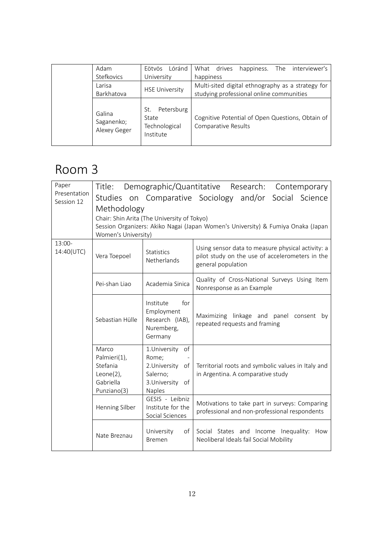| Adam                                 | Eötvös Lóránd                                            | What drives<br>happiness. The interviewer's                             |
|--------------------------------------|----------------------------------------------------------|-------------------------------------------------------------------------|
| Stefkovics                           | University                                               | happiness                                                               |
| Larisa                               | <b>HSE University</b>                                    | Multi-sited digital ethnography as a strategy for                       |
| Barkhatova                           |                                                          | studying professional online communities                                |
| Galina<br>Saganenko;<br>Alexey Geger | Petersburg<br>St.<br>State<br>Technological<br>Institute | Cognitive Potential of Open Questions, Obtain of<br>Comparative Results |

| Paper<br>Presentation | Title:                                                                         |                                                                                      | Demographic/Quantitative Research:<br>Contemporary                                                                         |
|-----------------------|--------------------------------------------------------------------------------|--------------------------------------------------------------------------------------|----------------------------------------------------------------------------------------------------------------------------|
| Session 12            |                                                                                |                                                                                      | Studies on Comparative Sociology and/or<br>Social Science                                                                  |
|                       | Methodology                                                                    |                                                                                      |                                                                                                                            |
|                       |                                                                                | Chair: Shin Arita (The University of Tokyo)                                          |                                                                                                                            |
|                       |                                                                                |                                                                                      | Session Organizers: Akiko Nagai (Japan Women's University) & Fumiya Onaka (Japan                                           |
| $13:00-$              | Women's University)                                                            |                                                                                      |                                                                                                                            |
| 14:40(UTC)            | Vera Toepoel                                                                   | <b>Statistics</b><br>Netherlands                                                     | Using sensor data to measure physical activity: a<br>pilot study on the use of accelerometers in the<br>general population |
|                       | Pei-shan Liao                                                                  | Academia Sinica                                                                      | Quality of Cross-National Surveys Using Item<br>Nonresponse as an Example                                                  |
|                       | Sebastian Hülle                                                                | for<br>Institute<br>Employment<br>Research (IAB),<br>Nuremberg,<br>Germany           | Maximizing linkage and panel consent<br>by<br>repeated requests and framing                                                |
|                       | Marco<br>Palmieri(1),<br>Stefania<br>Leone $(2)$ ,<br>Gabriella<br>Punziano(3) | 1.University of<br>Rome;<br>2.University of<br>Salerno;<br>3.University of<br>Naples | Territorial roots and symbolic values in Italy and<br>in Argentina. A comparative study                                    |
|                       | Henning Silber                                                                 | GESIS - Leibniz<br>Institute for the<br>Social Sciences                              | Motivations to take part in surveys: Comparing<br>professional and non-professional respondents                            |
|                       | Nate Breznau                                                                   | University<br>of<br><b>Bremen</b>                                                    | Social States and Income Inequality: How<br>Neoliberal Ideals fail Social Mobility                                         |